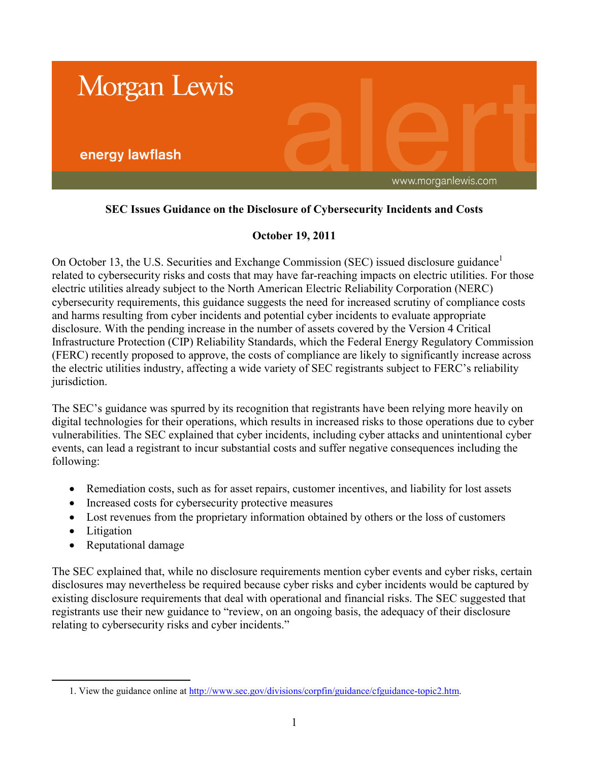

# **SEC Issues Guidance on the Disclosure of Cybersecurity Incidents and Costs**

# **October 19, 2011**

On October 13, the U.S. Securities and Exchange Commission (SEC) issued disclosure guidance<sup>1</sup> related to cybersecurity risks and costs that may have far-reaching impacts on electric utilities. For those electric utilities already subject to the North American Electric Reliability Corporation (NERC) cybersecurity requirements, this guidance suggests the need for increased scrutiny of compliance costs and harms resulting from cyber incidents and potential cyber incidents to evaluate appropriate disclosure. With the pending increase in the number of assets covered by the Version 4 Critical Infrastructure Protection (CIP) Reliability Standards, which the Federal Energy Regulatory Commission (FERC) recently proposed to approve, the costs of compliance are likely to significantly increase across the electric utilities industry, affecting a wide variety of SEC registrants subject to FERC's reliability jurisdiction.

The SEC's guidance was spurred by its recognition that registrants have been relying more heavily on digital technologies for their operations, which results in increased risks to those operations due to cyber vulnerabilities. The SEC explained that cyber incidents, including cyber attacks and unintentional cyber events, can lead a registrant to incur substantial costs and suffer negative consequences including the following:

- Remediation costs, such as for asset repairs, customer incentives, and liability for lost assets
- Increased costs for cybersecurity protective measures
- Lost revenues from the proprietary information obtained by others or the loss of customers
- Litigation

 $\overline{a}$ 

• Reputational damage

The SEC explained that, while no disclosure requirements mention cyber events and cyber risks, certain disclosures may nevertheless be required because cyber risks and cyber incidents would be captured by existing disclosure requirements that deal with operational and financial risks. The SEC suggested that registrants use their new guidance to "review, on an ongoing basis, the adequacy of their disclosure relating to cybersecurity risks and cyber incidents."

<sup>1.</sup> View the guidance online at [http://www.sec.gov/divisions/corpfin/guidance/cfguidance-topic2.htm.](http://www.sec.gov/divisions/corpfin/guidance/cfguidance-topic2.htm)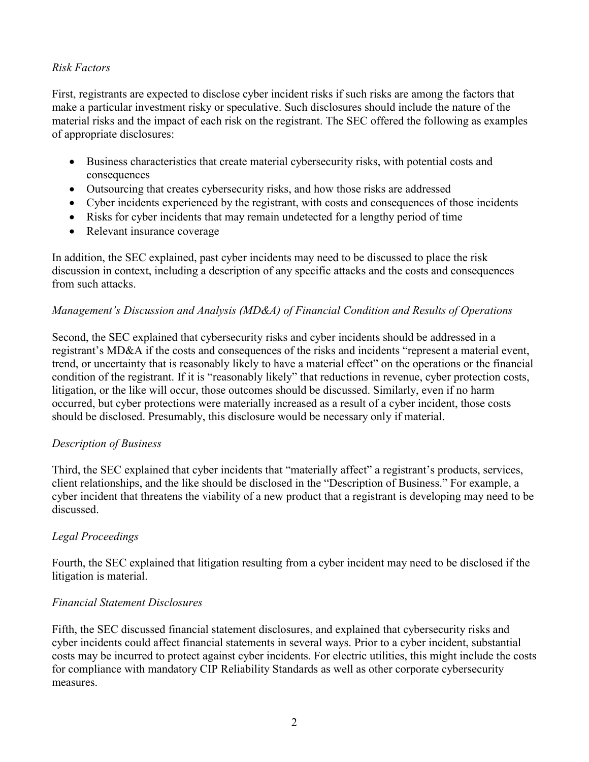## *Risk Factors*

First, registrants are expected to disclose cyber incident risks if such risks are among the factors that make a particular investment risky or speculative. Such disclosures should include the nature of the material risks and the impact of each risk on the registrant. The SEC offered the following as examples of appropriate disclosures:

- Business characteristics that create material cybersecurity risks, with potential costs and consequences
- Outsourcing that creates cybersecurity risks, and how those risks are addressed
- Cyber incidents experienced by the registrant, with costs and consequences of those incidents
- Risks for cyber incidents that may remain undetected for a lengthy period of time
- Relevant insurance coverage

In addition, the SEC explained, past cyber incidents may need to be discussed to place the risk discussion in context, including a description of any specific attacks and the costs and consequences from such attacks.

# *Management's Discussion and Analysis (MD&A) of Financial Condition and Results of Operations*

Second, the SEC explained that cybersecurity risks and cyber incidents should be addressed in a registrant's MD&A if the costs and consequences of the risks and incidents "represent a material event, trend, or uncertainty that is reasonably likely to have a material effect" on the operations or the financial condition of the registrant. If it is "reasonably likely" that reductions in revenue, cyber protection costs, litigation, or the like will occur, those outcomes should be discussed. Similarly, even if no harm occurred, but cyber protections were materially increased as a result of a cyber incident, those costs should be disclosed. Presumably, this disclosure would be necessary only if material.

## *Description of Business*

Third, the SEC explained that cyber incidents that "materially affect" a registrant's products, services, client relationships, and the like should be disclosed in the "Description of Business." For example, a cyber incident that threatens the viability of a new product that a registrant is developing may need to be discussed.

## *Legal Proceedings*

Fourth, the SEC explained that litigation resulting from a cyber incident may need to be disclosed if the litigation is material.

## *Financial Statement Disclosures*

Fifth, the SEC discussed financial statement disclosures, and explained that cybersecurity risks and cyber incidents could affect financial statements in several ways. Prior to a cyber incident, substantial costs may be incurred to protect against cyber incidents. For electric utilities, this might include the costs for compliance with mandatory CIP Reliability Standards as well as other corporate cybersecurity measures.